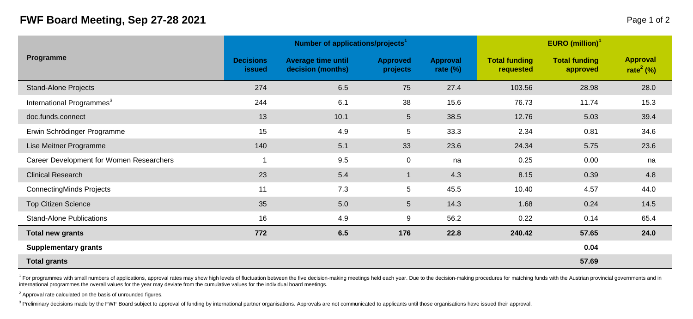## **FWF Board Meeting, Sep 27-28 2021** Page 1 of 2

| Programme                                |                            | Number of applications/projects <sup>1</sup> |                             | EURO (million) $1$      |                                   |                                  |                                   |  |
|------------------------------------------|----------------------------|----------------------------------------------|-----------------------------|-------------------------|-----------------------------------|----------------------------------|-----------------------------------|--|
|                                          | <b>Decisions</b><br>issued | Average time until<br>decision (months)      | <b>Approved</b><br>projects | Approval<br>rate $(\%)$ | <b>Total funding</b><br>requested | <b>Total funding</b><br>approved | Approval<br>rate <sup>2</sup> (%) |  |
| <b>Stand-Alone Projects</b>              | 274                        | 6.5                                          | 75                          | 27.4                    | 103.56                            | 28.98                            | 28.0                              |  |
| International Programmes <sup>3</sup>    | 244                        | 6.1                                          | 38                          | 15.6                    | 76.73                             | 11.74                            | 15.3                              |  |
| doc.funds.connect                        | 13                         | 10.1                                         | 5                           | 38.5                    | 12.76                             | 5.03                             | 39.4                              |  |
| Erwin Schrödinger Programme              | 15                         | 4.9                                          | 5                           | 33.3                    | 2.34                              | 0.81                             | 34.6                              |  |
| Lise Meitner Programme                   | 140                        | 5.1                                          | 33                          | 23.6                    | 24.34                             | 5.75                             | 23.6                              |  |
| Career Development for Women Researchers | 1                          | 9.5                                          | $\mathbf 0$                 | na                      | 0.25                              | 0.00                             | na                                |  |
| <b>Clinical Research</b>                 | 23                         | 5.4                                          | $\mathbf 1$                 | 4.3                     | 8.15                              | 0.39                             | 4.8                               |  |
| <b>ConnectingMinds Projects</b>          | 11                         | 7.3                                          | 5                           | 45.5                    | 10.40                             | 4.57                             | 44.0                              |  |
| <b>Top Citizen Science</b>               | 35                         | 5.0                                          | 5                           | 14.3                    | 1.68                              | 0.24                             | 14.5                              |  |
| <b>Stand-Alone Publications</b>          | 16                         | 4.9                                          | 9                           | 56.2                    | 0.22                              | 0.14                             | 65.4                              |  |
| <b>Total new grants</b>                  | 772                        | 6.5                                          | 176                         | 22.8                    | 240.42                            | 57.65                            | 24.0                              |  |
| Supplementary grants                     |                            |                                              |                             |                         |                                   | 0.04                             |                                   |  |
| <b>Total grants</b>                      |                            |                                              |                             |                         |                                   | 57.69                            |                                   |  |

<sup>1</sup> For programmes with small numbers of applications, approval rates may show high levels of fluctuation between the five decision-making meetings held each year. Due to the decision-making procedures for matching funds w international programmes the overall values for the year may deviate from the cumulative values for the individual board meetings.

 $2$  Approval rate calculated on the basis of unrounded figures.

<sup>3</sup> Preliminary decisions made by the FWF Board subject to approval of funding by international partner organisations. Approvals are not communicated to applicants until those organisations have issued their approval.